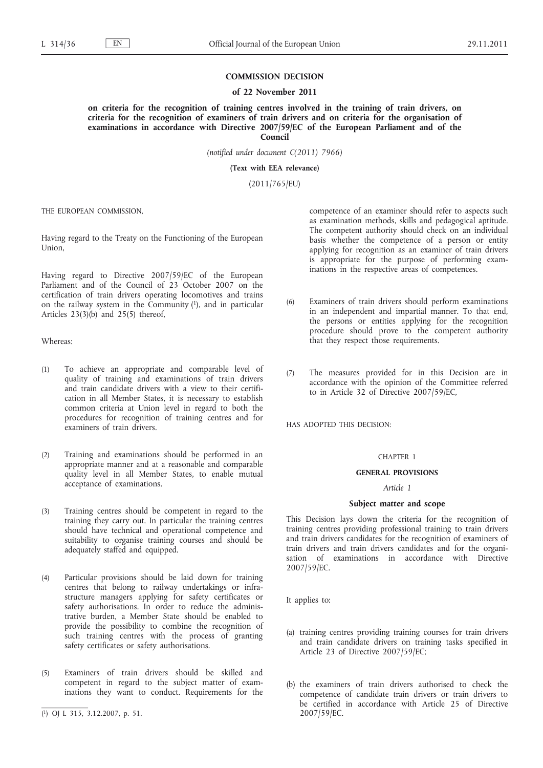### **COMMISSION DECISION**

#### **of 22 November 2011**

**on criteria for the recognition of training centres involved in the training of train drivers, on criteria for the recognition of examiners of train drivers and on criteria for the organisation of examinations in accordance with Directive 2007/59/EC of the European Parliament and of the Council**

*(notified under document C(2011) 7966)*

**(Text with EEA relevance)**

(2011/765/EU)

THE EUROPEAN COMMISSION,

Having regard to the Treaty on the Functioning of the European Union,

Having regard to Directive 2007/59/EC of the European Parliament and of the Council of 23 October 2007 on the certification of train drivers operating locomotives and trains on the railway system in the Community  $(1)$ , and in particular Articles  $23(3)(b)$  and  $25(5)$  thereof,

Whereas:

- (1) To achieve an appropriate and comparable level of quality of training and examinations of train drivers and train candidate drivers with a view to their certification in all Member States, it is necessary to establish common criteria at Union level in regard to both the procedures for recognition of training centres and for examiners of train drivers.
- (2) Training and examinations should be performed in an appropriate manner and at a reasonable and comparable quality level in all Member States, to enable mutual acceptance of examinations.
- (3) Training centres should be competent in regard to the training they carry out. In particular the training centres should have technical and operational competence and suitability to organise training courses and should be adequately staffed and equipped.
- (4) Particular provisions should be laid down for training centres that belong to railway undertakings or infrastructure managers applying for safety certificates or safety authorisations. In order to reduce the administrative burden, a Member State should be enabled to provide the possibility to combine the recognition of such training centres with the process of granting safety certificates or safety authorisations.
- (5) Examiners of train drivers should be skilled and competent in regard to the subject matter of examinations they want to conduct. Requirements for the

competence of an examiner should refer to aspects such as examination methods, skills and pedagogical aptitude. The competent authority should check on an individual basis whether the competence of a person or entity applying for recognition as an examiner of train drivers is appropriate for the purpose of performing examinations in the respective areas of competences.

- (6) Examiners of train drivers should perform examinations in an independent and impartial manner. To that end, the persons or entities applying for the recognition procedure should prove to the competent authority that they respect those requirements.
- (7) The measures provided for in this Decision are in accordance with the opinion of the Committee referred to in Article 32 of Directive 2007/59/EC,

HAS ADOPTED THIS DECISION:

## CHAPTER 1

# **GENERAL PROVISIONS**

#### *Article 1*

### **Subject matter and scope**

This Decision lays down the criteria for the recognition of training centres providing professional training to train drivers and train drivers candidates for the recognition of examiners of train drivers and train drivers candidates and for the organisation of examinations in accordance with Directive 2007/59/EC.

It applies to:

- (a) training centres providing training courses for train drivers and train candidate drivers on training tasks specified in Article 23 of Directive 2007/59/EC;
- (b) the examiners of train drivers authorised to check the competence of candidate train drivers or train drivers to be certified in accordance with Article 25 of Directive 2007/59/EC.

<sup>(</sup> 1) OJ L 315, 3.12.2007, p. 51.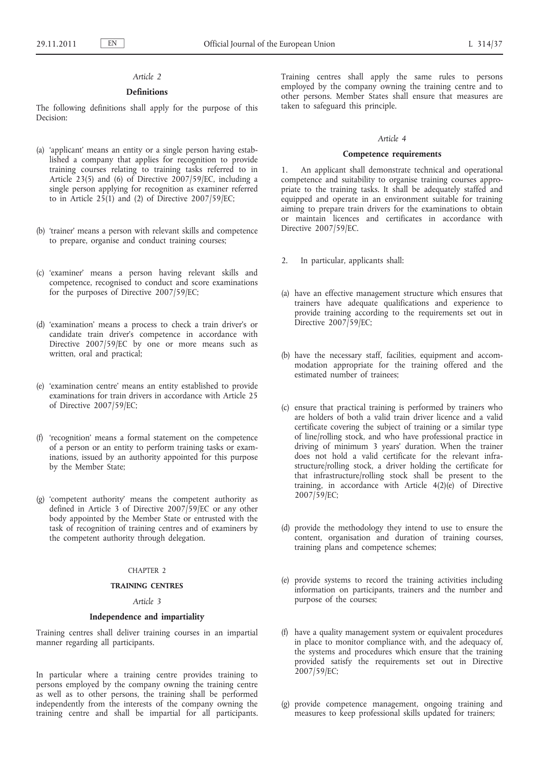# *Article 2*

## **Definitions**

The following definitions shall apply for the purpose of this Decision:

- (a) 'applicant' means an entity or a single person having established a company that applies for recognition to provide training courses relating to training tasks referred to in Article 23(5) and (6) of Directive 2007/59/EC, including a single person applying for recognition as examiner referred to in Article  $25(1)$  and (2) of Directive  $2007/59/EC$ ;
- (b) 'trainer' means a person with relevant skills and competence to prepare, organise and conduct training courses;
- (c) 'examiner' means a person having relevant skills and competence, recognised to conduct and score examinations for the purposes of Directive 2007/59/EC;
- (d) 'examination' means a process to check a train driver's or candidate train driver's competence in accordance with Directive 2007/59/EC by one or more means such as written, oral and practical;
- (e) 'examination centre' means an entity established to provide examinations for train drivers in accordance with Article 25 of Directive 2007/59/EC;
- (f) 'recognition' means a formal statement on the competence of a person or an entity to perform training tasks or examinations, issued by an authority appointed for this purpose by the Member State;
- (g) 'competent authority' means the competent authority as defined in Article 3 of Directive 2007/59/EC or any other body appointed by the Member State or entrusted with the task of recognition of training centres and of examiners by the competent authority through delegation.

#### CHAPTER 2

## **TRAINING CENTRES**

## *Article 3*

### **Independence and impartiality**

Training centres shall deliver training courses in an impartial manner regarding all participants.

In particular where a training centre provides training to persons employed by the company owning the training centre as well as to other persons, the training shall be performed independently from the interests of the company owning the training centre and shall be impartial for all participants. Training centres shall apply the same rules to persons employed by the company owning the training centre and to other persons. Member States shall ensure that measures are taken to safeguard this principle.

### *Article 4*

### **Competence requirements**

1. An applicant shall demonstrate technical and operational competence and suitability to organise training courses appropriate to the training tasks. It shall be adequately staffed and equipped and operate in an environment suitable for training aiming to prepare train drivers for the examinations to obtain or maintain licences and certificates in accordance with Directive 2007/59/EC.

- 2. In particular, applicants shall:
- (a) have an effective management structure which ensures that trainers have adequate qualifications and experience to provide training according to the requirements set out in Directive 2007/59/EC;
- (b) have the necessary staff, facilities, equipment and accommodation appropriate for the training offered and the estimated number of trainees;
- (c) ensure that practical training is performed by trainers who are holders of both a valid train driver licence and a valid certificate covering the subject of training or a similar type of line/rolling stock, and who have professional practice in driving of minimum 3 years' duration. When the trainer does not hold a valid certificate for the relevant infrastructure/rolling stock, a driver holding the certificate for that infrastructure/rolling stock shall be present to the training, in accordance with Article  $4(2)(\hat{e})$  of Directive 2007/59/EC;
- (d) provide the methodology they intend to use to ensure the content, organisation and duration of training courses, training plans and competence schemes;
- (e) provide systems to record the training activities including information on participants, trainers and the number and purpose of the courses;
- (f) have a quality management system or equivalent procedures in place to monitor compliance with, and the adequacy of, the systems and procedures which ensure that the training provided satisfy the requirements set out in Directive 2007/59/EC;
- (g) provide competence management, ongoing training and measures to keep professional skills updated for trainers;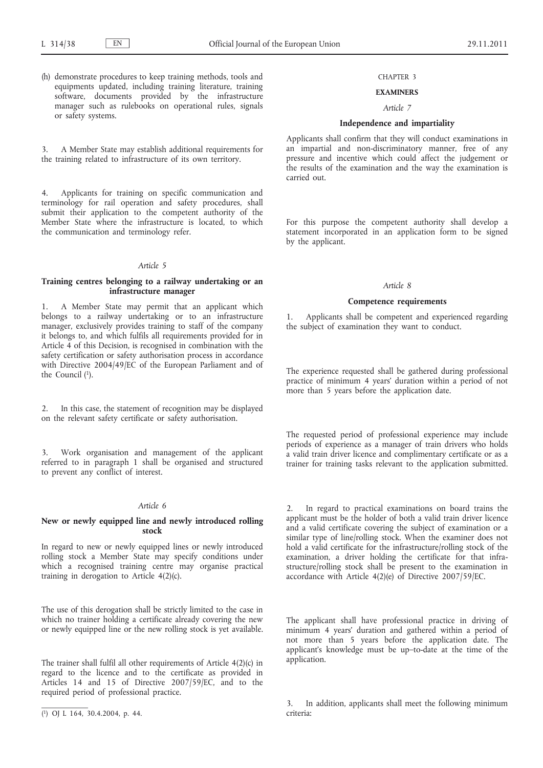(h) demonstrate procedures to keep training methods, tools and equipments updated, including training literature, training software, documents provided by the infrastructure manager such as rulebooks on operational rules, signals or safety systems.

3. A Member State may establish additional requirements for the training related to infrastructure of its own territory.

4. Applicants for training on specific communication and terminology for rail operation and safety procedures, shall submit their application to the competent authority of the Member State where the infrastructure is located, to which the communication and terminology refer.

#### *Article 5*

## **Training centres belonging to a railway undertaking or an infrastructure manager**

1. A Member State may permit that an applicant which belongs to a railway undertaking or to an infrastructure manager, exclusively provides training to staff of the company it belongs to, and which fulfils all requirements provided for in Article 4 of this Decision, is recognised in combination with the safety certification or safety authorisation process in accordance with Directive 2004/49/EC of the European Parliament and of the Council (1).

2. In this case, the statement of recognition may be displayed on the relevant safety certificate or safety authorisation.

Work organisation and management of the applicant referred to in paragraph 1 shall be organised and structured to prevent any conflict of interest.

# *Article 6*

### **New or newly equipped line and newly introduced rolling stock**

In regard to new or newly equipped lines or newly introduced rolling stock a Member State may specify conditions under which a recognised training centre may organise practical training in derogation to Article 4(2)(c).

The use of this derogation shall be strictly limited to the case in which no trainer holding a certificate already covering the new or newly equipped line or the new rolling stock is yet available.

The trainer shall fulfil all other requirements of Article 4(2)(c) in regard to the licence and to the certificate as provided in Articles 14 and 15 of Directive 2007/59/EC, and to the required period of professional practice.

### CHAPTER 3

## **EXAMINERS**

# *Article 7*

## **Independence and impartiality**

Applicants shall confirm that they will conduct examinations in an impartial and non-discriminatory manner, free of any pressure and incentive which could affect the judgement or the results of the examination and the way the examination is carried out.

For this purpose the competent authority shall develop a statement incorporated in an application form to be signed by the applicant.

#### *Article 8*

#### **Competence requirements**

1. Applicants shall be competent and experienced regarding the subject of examination they want to conduct.

The experience requested shall be gathered during professional practice of minimum 4 years' duration within a period of not more than 5 years before the application date.

The requested period of professional experience may include periods of experience as a manager of train drivers who holds a valid train driver licence and complimentary certificate or as a trainer for training tasks relevant to the application submitted.

2. In regard to practical examinations on board trains the applicant must be the holder of both a valid train driver licence and a valid certificate covering the subject of examination or a similar type of line/rolling stock. When the examiner does not hold a valid certificate for the infrastructure/rolling stock of the examination, a driver holding the certificate for that infrastructure/rolling stock shall be present to the examination in accordance with Article 4(2)(e) of Directive 2007/59/EC.

The applicant shall have professional practice in driving of minimum 4 years' duration and gathered within a period of not more than 5 years before the application date. The applicant's knowledge must be up–to-date at the time of the application.

In addition, applicants shall meet the following minimum criteria:

<sup>(</sup> 1) OJ L 164, 30.4.2004, p. 44.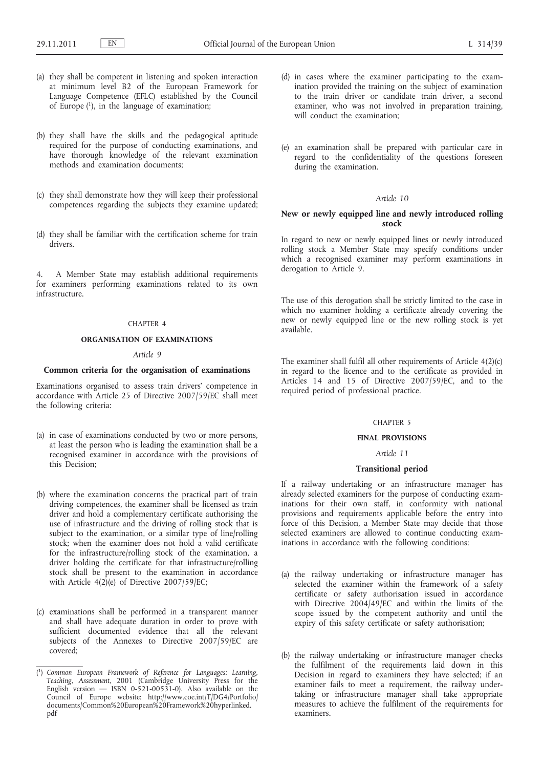- (a) they shall be competent in listening and spoken interaction at minimum level B2 of the European Framework for Language Competence (EFLC) established by the Council of Europe (1), in the language of examination;
- (b) they shall have the skills and the pedagogical aptitude required for the purpose of conducting examinations, and have thorough knowledge of the relevant examination methods and examination documents;
- (c) they shall demonstrate how they will keep their professional competences regarding the subjects they examine updated;
- (d) they shall be familiar with the certification scheme for train drivers.

4. A Member State may establish additional requirements for examiners performing examinations related to its own infrastructure.

# CHAPTER 4

# **ORGANISATION OF EXAMINATIONS**

# *Article 9*

#### **Common criteria for the organisation of examinations**

Examinations organised to assess train drivers' competence in accordance with Article 25 of Directive 2007/59/EC shall meet the following criteria:

- (a) in case of examinations conducted by two or more persons, at least the person who is leading the examination shall be a recognised examiner in accordance with the provisions of this Decision;
- (b) where the examination concerns the practical part of train driving competences, the examiner shall be licensed as train driver and hold a complementary certificate authorising the use of infrastructure and the driving of rolling stock that is subject to the examination, or a similar type of line/rolling stock; when the examiner does not hold a valid certificate for the infrastructure/rolling stock of the examination, a driver holding the certificate for that infrastructure/rolling stock shall be present to the examination in accordance with Article  $4(2)$ (e) of Directive 2007/59/EC;
- (c) examinations shall be performed in a transparent manner and shall have adequate duration in order to prove with sufficient documented evidence that all the relevant subjects of the Annexes to Directive 2007/59/EC are covered;
- (d) in cases where the examiner participating to the examination provided the training on the subject of examination to the train driver or candidate train driver, a second examiner, who was not involved in preparation training, will conduct the examination;
- (e) an examination shall be prepared with particular care in regard to the confidentiality of the questions foreseen during the examination.

## *Article 10*

## **New or newly equipped line and newly introduced rolling stock**

In regard to new or newly equipped lines or newly introduced rolling stock a Member State may specify conditions under which a recognised examiner may perform examinations in derogation to Article 9.

The use of this derogation shall be strictly limited to the case in which no examiner holding a certificate already covering the new or newly equipped line or the new rolling stock is yet available.

The examiner shall fulfil all other requirements of Article 4(2)(c) in regard to the licence and to the certificate as provided in Articles 14 and 15 of Directive 2007/59/EC, and to the required period of professional practice.

#### CHAPTER 5

### **FINAL PROVISIONS**

# *Article 11*

### **Transitional period**

If a railway undertaking or an infrastructure manager has already selected examiners for the purpose of conducting examinations for their own staff, in conformity with national provisions and requirements applicable before the entry into force of this Decision, a Member State may decide that those selected examiners are allowed to continue conducting examinations in accordance with the following conditions:

- (a) the railway undertaking or infrastructure manager has selected the examiner within the framework of a safety certificate or safety authorisation issued in accordance with Directive 2004/49/EC and within the limits of the scope issued by the competent authority and until the expiry of this safety certificate or safety authorisation;
- (b) the railway undertaking or infrastructure manager checks the fulfilment of the requirements laid down in this Decision in regard to examiners they have selected; if an examiner fails to meet a requirement, the railway undertaking or infrastructure manager shall take appropriate measures to achieve the fulfilment of the requirements for examiners.

<sup>(</sup> 1) *Common European Framework of Reference for Languages: Learning, Teaching, Assessment*, 2001 (Cambridge University Press for the English version  $-$  ISBN 0-521-00531-0). Also available on the Council of Europe website: [http://www.coe.int/T/DG4/Portfolio/](http://www.coe.int/T/DG4/Portfolio/documents/Common%20European%20Framework%20hyperlinked.pdf) [documents/Common%20European%20Framework%20hyperlinked.](http://www.coe.int/T/DG4/Portfolio/documents/Common%20European%20Framework%20hyperlinked.pdf)  [pdf](http://www.coe.int/T/DG4/Portfolio/documents/Common%20European%20Framework%20hyperlinked.pdf)